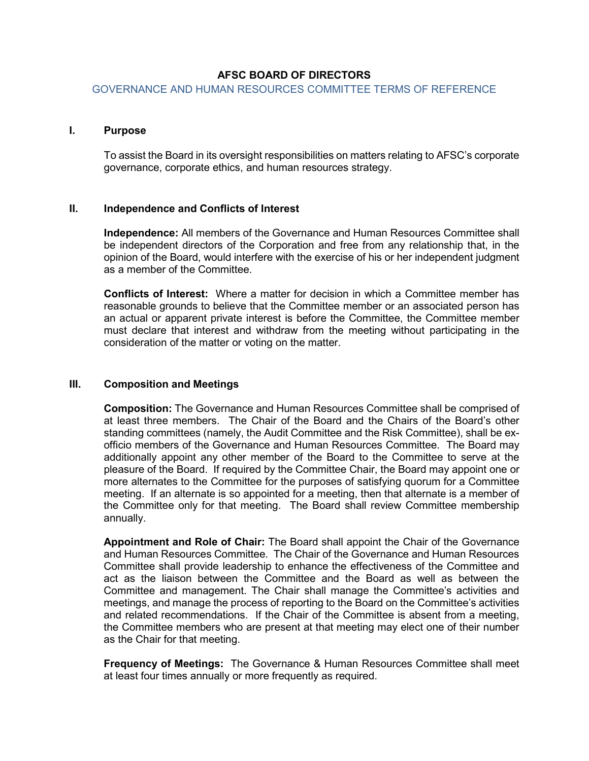# **AFSC BOARD OF DIRECTORS**

GOVERNANCE AND HUMAN RESOURCES COMMITTEE TERMS OF REFERENCE

#### **I. Purpose**

To assist the Board in its oversight responsibilities on matters relating to AFSC's corporate governance, corporate ethics, and human resources strategy.

### **II. Independence and Conflicts of Interest**

**Independence:** All members of the Governance and Human Resources Committee shall be independent directors of the Corporation and free from any relationship that, in the opinion of the Board, would interfere with the exercise of his or her independent judgment as a member of the Committee.

**Conflicts of Interest:** Where a matter for decision in which a Committee member has reasonable grounds to believe that the Committee member or an associated person has an actual or apparent private interest is before the Committee, the Committee member must declare that interest and withdraw from the meeting without participating in the consideration of the matter or voting on the matter.

### **III. Composition and Meetings**

**Composition:** The Governance and Human Resources Committee shall be comprised of at least three members. The Chair of the Board and the Chairs of the Board's other standing committees (namely, the Audit Committee and the Risk Committee), shall be exofficio members of the Governance and Human Resources Committee. The Board may additionally appoint any other member of the Board to the Committee to serve at the pleasure of the Board. If required by the Committee Chair, the Board may appoint one or more alternates to the Committee for the purposes of satisfying quorum for a Committee meeting. If an alternate is so appointed for a meeting, then that alternate is a member of the Committee only for that meeting. The Board shall review Committee membership annually.

**Appointment and Role of Chair:** The Board shall appoint the Chair of the Governance and Human Resources Committee. The Chair of the Governance and Human Resources Committee shall provide leadership to enhance the effectiveness of the Committee and act as the liaison between the Committee and the Board as well as between the Committee and management. The Chair shall manage the Committee's activities and meetings, and manage the process of reporting to the Board on the Committee's activities and related recommendations. If the Chair of the Committee is absent from a meeting, the Committee members who are present at that meeting may elect one of their number as the Chair for that meeting.

**Frequency of Meetings:** The Governance & Human Resources Committee shall meet at least four times annually or more frequently as required.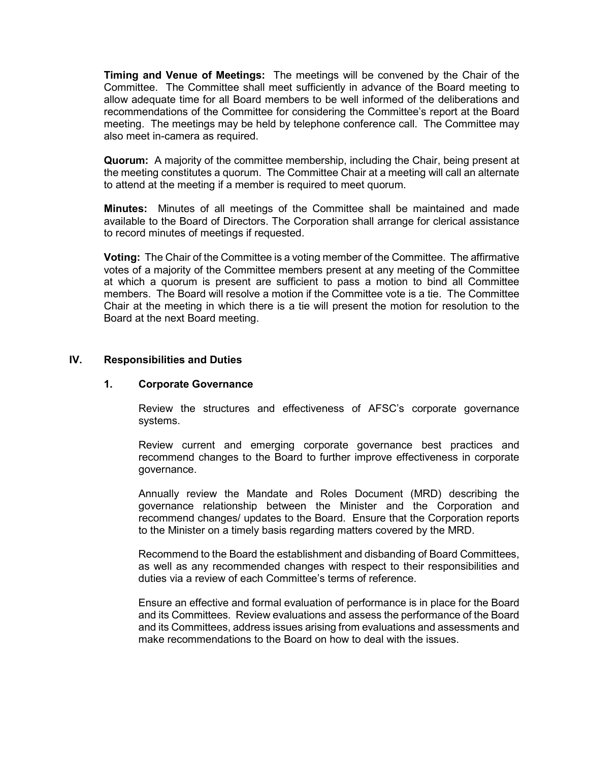**Timing and Venue of Meetings:** The meetings will be convened by the Chair of the Committee. The Committee shall meet sufficiently in advance of the Board meeting to allow adequate time for all Board members to be well informed of the deliberations and recommendations of the Committee for considering the Committee's report at the Board meeting. The meetings may be held by telephone conference call. The Committee may also meet in-camera as required.

**Quorum:** A majority of the committee membership, including the Chair, being present at the meeting constitutes a quorum. The Committee Chair at a meeting will call an alternate to attend at the meeting if a member is required to meet quorum.

**Minutes:** Minutes of all meetings of the Committee shall be maintained and made available to the Board of Directors. The Corporation shall arrange for clerical assistance to record minutes of meetings if requested.

**Voting:** The Chair of the Committee is a voting member of the Committee. The affirmative votes of a majority of the Committee members present at any meeting of the Committee at which a quorum is present are sufficient to pass a motion to bind all Committee members. The Board will resolve a motion if the Committee vote is a tie. The Committee Chair at the meeting in which there is a tie will present the motion for resolution to the Board at the next Board meeting.

# **IV. Responsibilities and Duties**

### **1. Corporate Governance**

Review the structures and effectiveness of AFSC's corporate governance systems.

Review current and emerging corporate governance best practices and recommend changes to the Board to further improve effectiveness in corporate governance.

Annually review the Mandate and Roles Document (MRD) describing the governance relationship between the Minister and the Corporation and recommend changes/ updates to the Board. Ensure that the Corporation reports to the Minister on a timely basis regarding matters covered by the MRD.

Recommend to the Board the establishment and disbanding of Board Committees, as well as any recommended changes with respect to their responsibilities and duties via a review of each Committee's terms of reference.

Ensure an effective and formal evaluation of performance is in place for the Board and its Committees. Review evaluations and assess the performance of the Board and its Committees, address issues arising from evaluations and assessments and make recommendations to the Board on how to deal with the issues.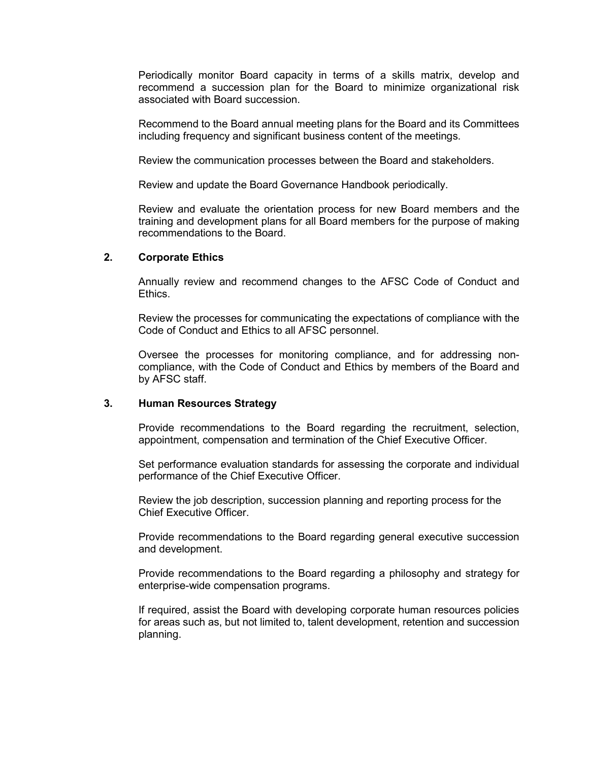Periodically monitor Board capacity in terms of a skills matrix, develop and recommend a succession plan for the Board to minimize organizational risk associated with Board succession.

Recommend to the Board annual meeting plans for the Board and its Committees including frequency and significant business content of the meetings.

Review the communication processes between the Board and stakeholders.

Review and update the Board Governance Handbook periodically.

Review and evaluate the orientation process for new Board members and the training and development plans for all Board members for the purpose of making recommendations to the Board.

### **2. Corporate Ethics**

Annually review and recommend changes to the AFSC Code of Conduct and Ethics.

Review the processes for communicating the expectations of compliance with the Code of Conduct and Ethics to all AFSC personnel.

Oversee the processes for monitoring compliance, and for addressing noncompliance, with the Code of Conduct and Ethics by members of the Board and by AFSC staff.

### **3. Human Resources Strategy**

Provide recommendations to the Board regarding the recruitment, selection, appointment, compensation and termination of the Chief Executive Officer.

Set performance evaluation standards for assessing the corporate and individual performance of the Chief Executive Officer.

Review the job description, succession planning and reporting process for the Chief Executive Officer.

Provide recommendations to the Board regarding general executive succession and development.

Provide recommendations to the Board regarding a philosophy and strategy for enterprise-wide compensation programs.

If required, assist the Board with developing corporate human resources policies for areas such as, but not limited to, talent development, retention and succession planning.